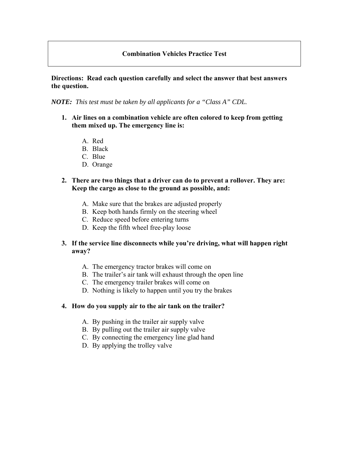## **Combination Vehicles Practice Test**

## **Directions: Read each question carefully and select the answer that best answers the question.**

*NOTE: This test must be taken by all applicants for a "Class A" CDL.* 

- **1. Air lines on a combination vehicle are often colored to keep from getting them mixed up. The emergency line is:** 
	- A. Red
	- B. Black
	- C. Blue
	- D. Orange
- **2. There are two things that a driver can do to prevent a rollover. They are: Keep the cargo as close to the ground as possible, and:** 
	- A. Make sure that the brakes are adjusted properly
	- B. Keep both hands firmly on the steering wheel
	- C. Reduce speed before entering turns
	- D. Keep the fifth wheel free-play loose

### **3. If the service line disconnects while you're driving, what will happen right away?**

- A. The emergency tractor brakes will come on
- B. The trailer's air tank will exhaust through the open line
- C. The emergency trailer brakes will come on
- D. Nothing is likely to happen until you try the brakes

#### **4. How do you supply air to the air tank on the trailer?**

- A. By pushing in the trailer air supply valve
- B. By pulling out the trailer air supply valve
- C. By connecting the emergency line glad hand
- D. By applying the trolley valve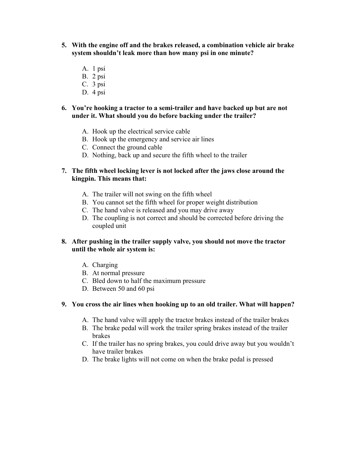- **5. With the engine off and the brakes released, a combination vehicle air brake system shouldn't leak more than how many psi in one minute?** 
	- A. 1 psi
	- B. 2 psi
	- C. 3 psi
	- D. 4 psi

### **6. You're hooking a tractor to a semi-trailer and have backed up but are not under it. What should you do before backing under the trailer?**

- A. Hook up the electrical service cable
- B. Hook up the emergency and service air lines
- C. Connect the ground cable
- D. Nothing, back up and secure the fifth wheel to the trailer

## **7. The fifth wheel locking lever is not locked after the jaws close around the kingpin. This means that:**

- A. The trailer will not swing on the fifth wheel
- B. You cannot set the fifth wheel for proper weight distribution
- C. The hand valve is released and you may drive away
- D. The coupling is not correct and should be corrected before driving the coupled unit

## **8. After pushing in the trailer supply valve, you should not move the tractor until the whole air system is:**

- A. Charging
- B. At normal pressure
- C. Bled down to half the maximum pressure
- D. Between 50 and 60 psi

### **9. You cross the air lines when hooking up to an old trailer. What will happen?**

- A. The hand valve will apply the tractor brakes instead of the trailer brakes
- B. The brake pedal will work the trailer spring brakes instead of the trailer brakes
- C. If the trailer has no spring brakes, you could drive away but you wouldn't have trailer brakes
- D. The brake lights will not come on when the brake pedal is pressed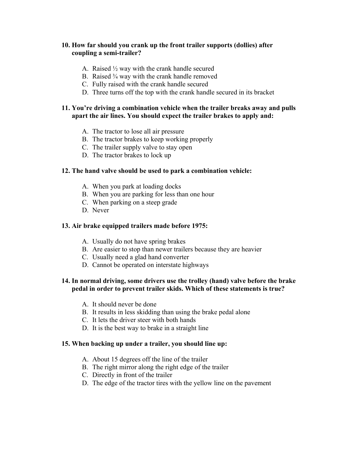## **10. How far should you crank up the front trailer supports (dollies) after coupling a semi-trailer?**

- A. Raised ½ way with the crank handle secured
- B. Raised  $\frac{3}{4}$  way with the crank handle removed
- C. Fully raised with the crank handle secured
- D. Three turns off the top with the crank handle secured in its bracket

## **11. You're driving a combination vehicle when the trailer breaks away and pulls apart the air lines. You should expect the trailer brakes to apply and:**

- A. The tractor to lose all air pressure
- B. The tractor brakes to keep working properly
- C. The trailer supply valve to stay open
- D. The tractor brakes to lock up

#### **12. The hand valve should be used to park a combination vehicle:**

- A. When you park at loading docks
- B. When you are parking for less than one hour
- C. When parking on a steep grade
- D. Never

#### **13. Air brake equipped trailers made before 1975:**

- A. Usually do not have spring brakes
- B. Are easier to stop than newer trailers because they are heavier
- C. Usually need a glad hand converter
- D. Cannot be operated on interstate highways

## **14. In normal driving, some drivers use the trolley (hand) valve before the brake pedal in order to prevent trailer skids. Which of these statements is true?**

- A. It should never be done
- B. It results in less skidding than using the brake pedal alone
- C. It lets the driver steer with both hands
- D. It is the best way to brake in a straight line

#### **15. When backing up under a trailer, you should line up:**

- A. About 15 degrees off the line of the trailer
- B. The right mirror along the right edge of the trailer
- C. Directly in front of the trailer
- D. The edge of the tractor tires with the yellow line on the pavement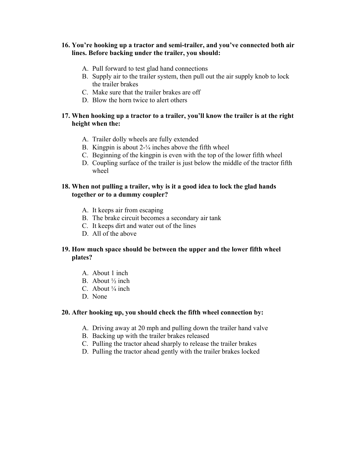## **16. You're hooking up a tractor and semi-trailer, and you've connected both air lines. Before backing under the trailer, you should:**

- A. Pull forward to test glad hand connections
- B. Supply air to the trailer system, then pull out the air supply knob to lock the trailer brakes
- C. Make sure that the trailer brakes are off
- D. Blow the horn twice to alert others

## **17. When hooking up a tractor to a trailer, you'll know the trailer is at the right height when the:**

- A. Trailer dolly wheels are fully extended
- B. Kingpin is about 2-¼ inches above the fifth wheel
- C. Beginning of the kingpin is even with the top of the lower fifth wheel
- D. Coupling surface of the trailer is just below the middle of the tractor fifth wheel

## **18. When not pulling a trailer, why is it a good idea to lock the glad hands together or to a dummy coupler?**

- A. It keeps air from escaping
- B. The brake circuit becomes a secondary air tank
- C. It keeps dirt and water out of the lines
- D. All of the above

## **19. How much space should be between the upper and the lower fifth wheel plates?**

- A. About 1 inch
- B. About  $\frac{1}{2}$  inch
- C. About  $\frac{1}{4}$  inch
- D. None

### **20. After hooking up, you should check the fifth wheel connection by:**

- A. Driving away at 20 mph and pulling down the trailer hand valve
- B. Backing up with the trailer brakes released
- C. Pulling the tractor ahead sharply to release the trailer brakes
- D. Pulling the tractor ahead gently with the trailer brakes locked